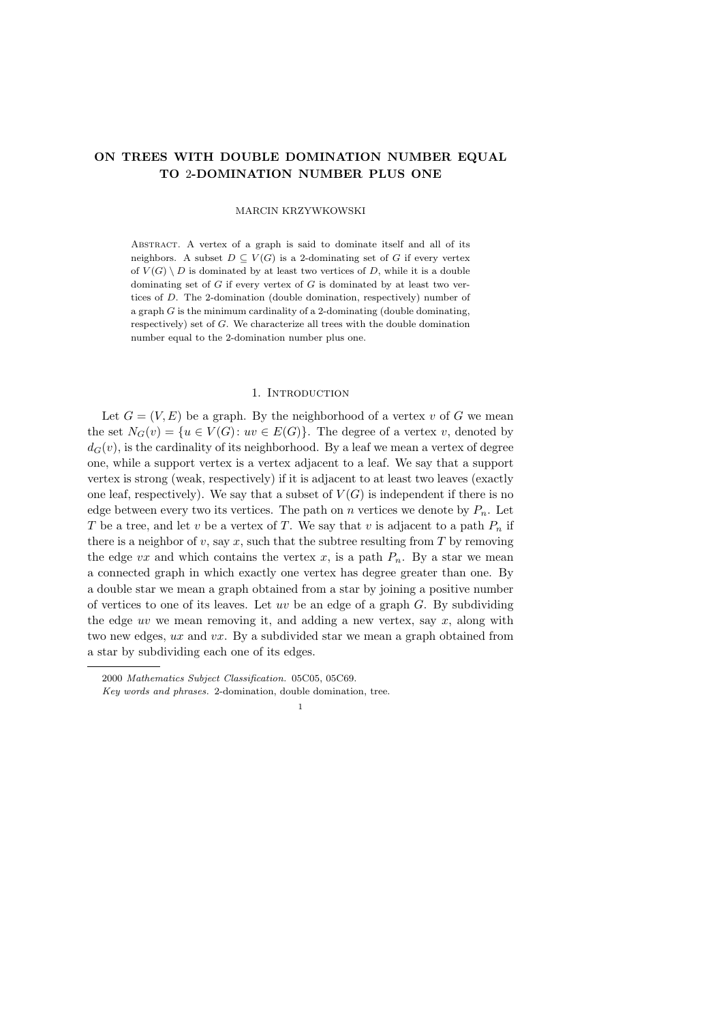# ON TREES WITH DOUBLE DOMINATION NUMBER EQUAL TO 2-DOMINATION NUMBER PLUS ONE

### MARCIN KRZYWKOWSKI

Abstract. A vertex of a graph is said to dominate itself and all of its neighbors. A subset  $D \subseteq V(G)$  is a 2-dominating set of G if every vertex of  $V(G) \setminus D$  is dominated by at least two vertices of D, while it is a double dominating set of  $G$  if every vertex of  $G$  is dominated by at least two vertices of D. The 2-domination (double domination, respectively) number of a graph  $G$  is the minimum cardinality of a 2-dominating (double dominating, respectively) set of G. We characterize all trees with the double domination number equal to the 2-domination number plus one.

## 1. INTRODUCTION

Let  $G = (V, E)$  be a graph. By the neighborhood of a vertex v of G we mean the set  $N_G(v) = \{u \in V(G): uv \in E(G)\}\)$ . The degree of a vertex v, denoted by  $d_G(v)$ , is the cardinality of its neighborhood. By a leaf we mean a vertex of degree one, while a support vertex is a vertex adjacent to a leaf. We say that a support vertex is strong (weak, respectively) if it is adjacent to at least two leaves (exactly one leaf, respectively). We say that a subset of  $V(G)$  is independent if there is no edge between every two its vertices. The path on n vertices we denote by  $P_n$ . Let T be a tree, and let v be a vertex of T. We say that v is adjacent to a path  $P_n$  if there is a neighbor of v, say x, such that the subtree resulting from  $T$  by removing the edge vx and which contains the vertex x, is a path  $P_n$ . By a star we mean a connected graph in which exactly one vertex has degree greater than one. By a double star we mean a graph obtained from a star by joining a positive number of vertices to one of its leaves. Let uv be an edge of a graph  $G$ . By subdividing the edge uv we mean removing it, and adding a new vertex, say  $x$ , along with two new edges, ux and vx. By a subdivided star we mean a graph obtained from a star by subdividing each one of its edges.

<sup>2000</sup> Mathematics Subject Classification. 05C05, 05C69.

Key words and phrases. 2-domination, double domination, tree.

<sup>1</sup>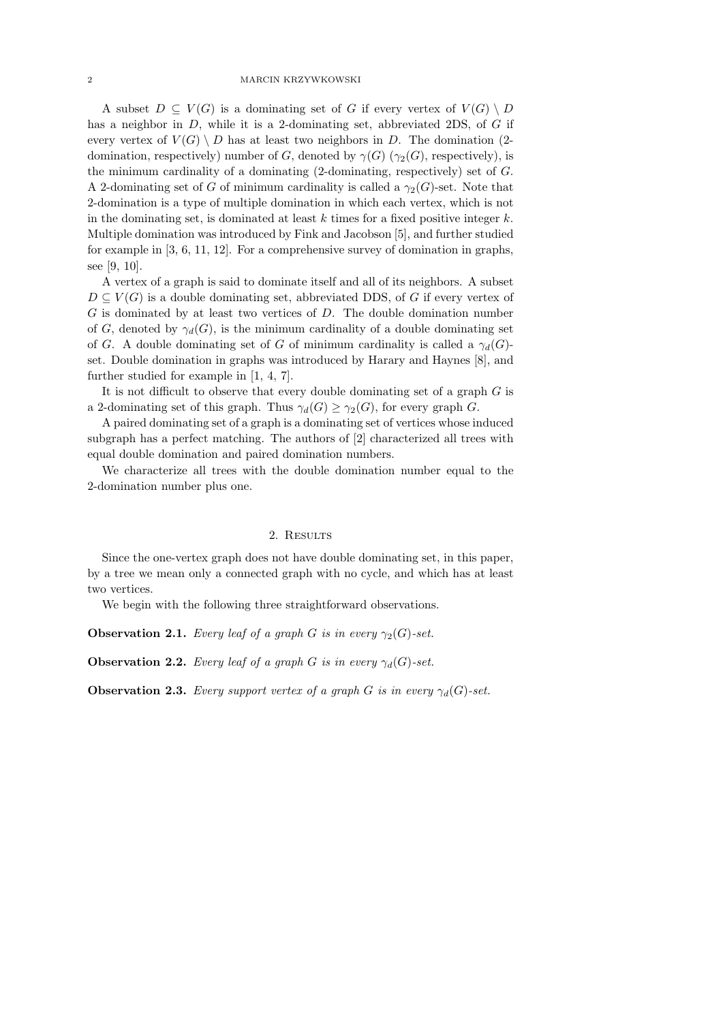A subset  $D \subseteq V(G)$  is a dominating set of G if every vertex of  $V(G) \setminus D$ has a neighbor in  $D$ , while it is a 2-dominating set, abbreviated 2DS, of  $G$  if every vertex of  $V(G) \setminus D$  has at least two neighbors in D. The domination (2domination, respectively) number of G, denoted by  $\gamma(G)$  ( $\gamma_2(G)$ , respectively), is the minimum cardinality of a dominating  $(2\text{-dominating, respectively})$  set of  $G$ . A 2-dominating set of G of minimum cardinality is called a  $\gamma_2(G)$ -set. Note that 2-domination is a type of multiple domination in which each vertex, which is not in the dominating set, is dominated at least  $k$  times for a fixed positive integer  $k$ . Multiple domination was introduced by Fink and Jacobson [5], and further studied for example in [3, 6, 11, 12]. For a comprehensive survey of domination in graphs, see [9, 10].

A vertex of a graph is said to dominate itself and all of its neighbors. A subset  $D \subseteq V(G)$  is a double dominating set, abbreviated DDS, of G if every vertex of G is dominated by at least two vertices of D. The double domination number of G, denoted by  $\gamma_d(G)$ , is the minimum cardinality of a double dominating set of G. A double dominating set of G of minimum cardinality is called a  $\gamma_d(G)$ set. Double domination in graphs was introduced by Harary and Haynes [8], and further studied for example in [1, 4, 7].

It is not difficult to observe that every double dominating set of a graph  $G$  is a 2-dominating set of this graph. Thus  $\gamma_d(G) \geq \gamma_2(G)$ , for every graph G.

A paired dominating set of a graph is a dominating set of vertices whose induced subgraph has a perfect matching. The authors of [2] characterized all trees with equal double domination and paired domination numbers.

We characterize all trees with the double domination number equal to the 2-domination number plus one.

## 2. RESULTS

Since the one-vertex graph does not have double dominating set, in this paper, by a tree we mean only a connected graph with no cycle, and which has at least two vertices.

We begin with the following three straightforward observations.

**Observation 2.1.** Every leaf of a graph G is in every  $\gamma_2(G)$ -set.

**Observation 2.2.** Every leaf of a graph G is in every  $\gamma_d(G)$ -set.

**Observation 2.3.** Every support vertex of a graph G is in every  $\gamma_d(G)$ -set.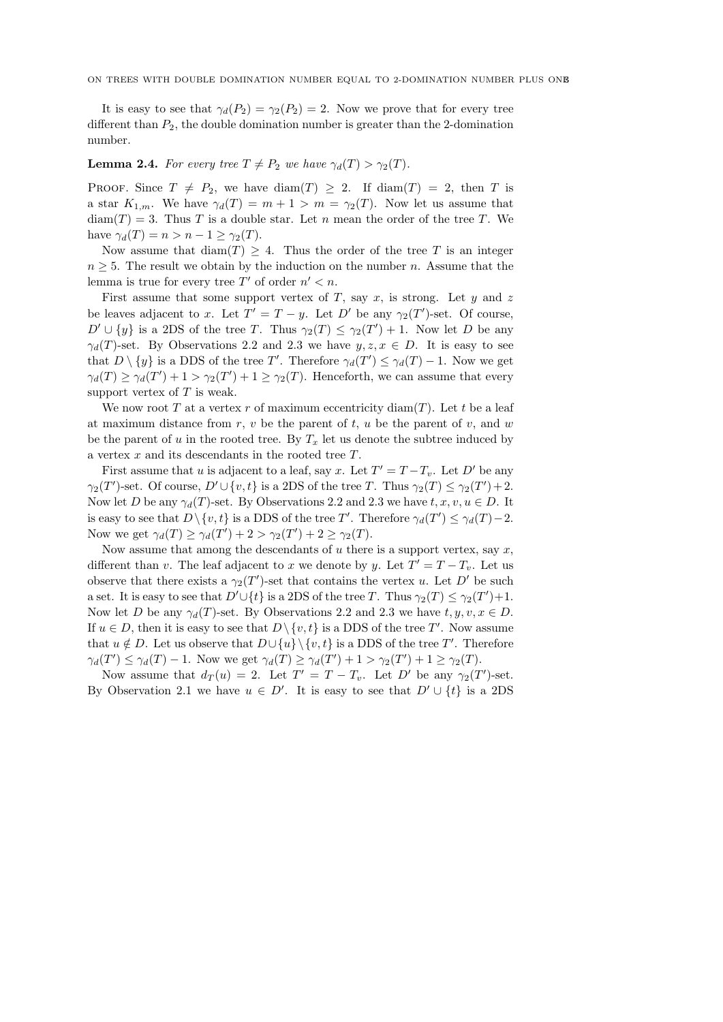It is easy to see that  $\gamma_d(P_2) = \gamma_2(P_2) = 2$ . Now we prove that for every tree different than  $P_2$ , the double domination number is greater than the 2-domination number.

## **Lemma 2.4.** For every tree  $T \neq P_2$  we have  $\gamma_d(T) > \gamma_2(T)$ .

PROOF. Since  $T \neq P_2$ , we have  $\text{diam}(T) \geq 2$ . If  $\text{diam}(T) = 2$ , then T is a star  $K_{1,m}$ . We have  $\gamma_d(T) = m + 1 > m = \gamma_2(T)$ . Now let us assume that  $diam(T) = 3$ . Thus T is a double star. Let n mean the order of the tree T. We have  $\gamma_d(T) = n > n - 1 \geq \gamma_2(T)$ .

Now assume that  $\text{diam}(T) \geq 4$ . Thus the order of the tree T is an integer  $n \geq 5$ . The result we obtain by the induction on the number n. Assume that the lemma is true for every tree  $T'$  of order  $n' < n$ .

First assume that some support vertex of  $T$ , say  $x$ , is strong. Let  $y$  and  $z$ be leaves adjacent to x. Let  $T' = T - y$ . Let D' be any  $\gamma_2(T')$ -set. Of course,  $D' \cup \{y\}$  is a 2DS of the tree T. Thus  $\gamma_2(T) \leq \gamma_2(T') + 1$ . Now let D be any  $\gamma_d(T)$ -set. By Observations 2.2 and 2.3 we have  $y, z, x \in D$ . It is easy to see that  $D \setminus \{y\}$  is a DDS of the tree T'. Therefore  $\gamma_d(T') \leq \gamma_d(T) - 1$ . Now we get  $\gamma_d(T) \ge \gamma_d(T') + 1 > \gamma_2(T') + 1 \ge \gamma_2(T)$ . Henceforth, we can assume that every support vertex of  $T$  is weak.

We now root T at a vertex r of maximum eccentricity diam $(T)$ . Let t be a leaf at maximum distance from r, v be the parent of t, u be the parent of v, and w be the parent of u in the rooted tree. By  $T_x$  let us denote the subtree induced by a vertex x and its descendants in the rooted tree T.

First assume that u is adjacent to a leaf, say x. Let  $T' = T - T_v$ . Let D' be any  $\gamma_2(T')$ -set. Of course,  $D' \cup \{v, t\}$  is a 2DS of the tree T. Thus  $\gamma_2(T) \leq \gamma_2(T') + 2$ . Now let D be any  $\gamma_d(T)$ -set. By Observations 2.2 and 2.3 we have  $t, x, v, u \in D$ . It is easy to see that  $D \setminus \{v, t\}$  is a DDS of the tree T'. Therefore  $\gamma_d(T') \leq \gamma_d(T) - 2$ . Now we get  $\gamma_d(T) \geq \gamma_d(T') + 2 > \gamma_2(T') + 2 \geq \gamma_2(T)$ .

Now assume that among the descendants of  $u$  there is a support vertex, say  $x$ , different than v. The leaf adjacent to x we denote by y. Let  $T' = T - T_v$ . Let us observe that there exists a  $\gamma_2(T')$ -set that contains the vertex u. Let D' be such a set. It is easy to see that  $D' \cup \{t\}$  is a 2DS of the tree T. Thus  $\gamma_2(T) \leq \gamma_2(T') + 1$ . Now let D be any  $\gamma_d(T)$ -set. By Observations 2.2 and 2.3 we have  $t, y, v, x \in D$ . If  $u \in D$ , then it is easy to see that  $D \setminus \{v, t\}$  is a DDS of the tree T'. Now assume that  $u \notin D$ . Let us observe that  $D \cup \{u\} \setminus \{v, t\}$  is a DDS of the tree T'. Therefore  $\gamma_d(T') \leq \gamma_d(T) - 1$ . Now we get  $\gamma_d(T) \geq \gamma_d(T') + 1 > \gamma_2(T') + 1 \geq \gamma_2(T)$ .

Now assume that  $d_T(u) = 2$ . Let  $T' = T - T_v$ . Let D' be any  $\gamma_2(T')$ -set. By Observation 2.1 we have  $u \in D'$ . It is easy to see that  $D' \cup \{t\}$  is a 2DS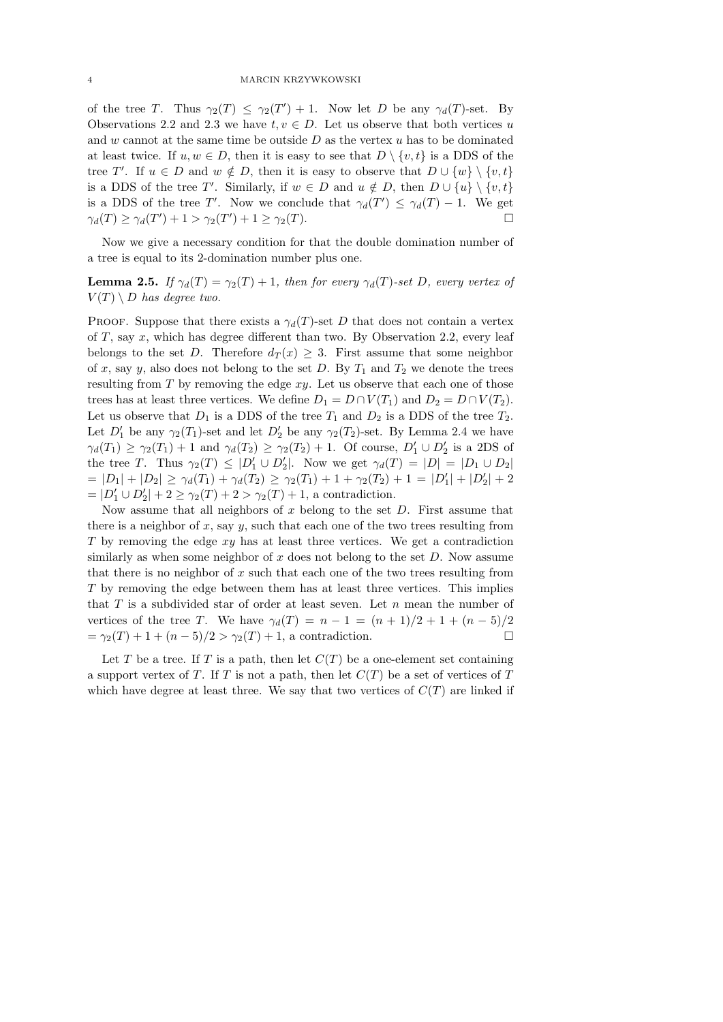of the tree T. Thus  $\gamma_2(T) \leq \gamma_2(T') + 1$ . Now let D be any  $\gamma_d(T)$ -set. By Observations 2.2 and 2.3 we have  $t, v \in D$ . Let us observe that both vertices u and w cannot at the same time be outside  $D$  as the vertex  $u$  has to be dominated at least twice. If  $u, w \in D$ , then it is easy to see that  $D \setminus \{v, t\}$  is a DDS of the tree T'. If  $u \in D$  and  $w \notin D$ , then it is easy to observe that  $D \cup \{w\} \setminus \{v, t\}$ is a DDS of the tree T'. Similarly, if  $w \in D$  and  $u \notin D$ , then  $D \cup \{u\} \setminus \{v, t\}$ is a DDS of the tree T'. Now we conclude that  $\gamma_d(T') \leq \gamma_d(T) - 1$ . We get  $\gamma_d(T) \ge \gamma_d(T') + 1 > \gamma_2(T') + 1 \ge \gamma_2(T).$ 

Now we give a necessary condition for that the double domination number of a tree is equal to its 2-domination number plus one.

**Lemma 2.5.** If  $\gamma_d(T) = \gamma_2(T) + 1$ , then for every  $\gamma_d(T)$ -set D, every vertex of  $V(T) \setminus D$  has degree two.

PROOF. Suppose that there exists a  $\gamma_d(T)$ -set D that does not contain a vertex of  $T$ , say  $x$ , which has degree different than two. By Observation 2.2, every leaf belongs to the set D. Therefore  $d_T(x) \geq 3$ . First assume that some neighbor of x, say y, also does not belong to the set D. By  $T_1$  and  $T_2$  we denote the trees resulting from  $T$  by removing the edge  $xy$ . Let us observe that each one of those trees has at least three vertices. We define  $D_1 = D \cap V(T_1)$  and  $D_2 = D \cap V(T_2)$ . Let us observe that  $D_1$  is a DDS of the tree  $T_1$  and  $D_2$  is a DDS of the tree  $T_2$ . Let  $D'_1$  be any  $\gamma_2(T_1)$ -set and let  $D'_2$  be any  $\gamma_2(T_2)$ -set. By Lemma 2.4 we have  $\gamma_d(T_1) \geq \gamma_2(T_1) + 1$  and  $\gamma_d(T_2) \geq \gamma_2(T_2) + 1$ . Of course,  $D'_1 \cup D'_2$  is a 2DS of the tree T. Thus  $\gamma_2(T) \leq |D'_1 \cup D'_2|$ . Now we get  $\gamma_d(T) = |D| = |D_1 \cup D_2|$  $= |D_1| + |D_2| \ge \gamma_d(T_1) + \gamma_d(T_2) \ge \gamma_2(T_1) + 1 + \gamma_2(T_2) + 1 = |D'_1| + |D'_2| + 2$  $= |D'_1 \cup D'_2| + 2 \ge \gamma_2(T) + 2 > \gamma_2(T) + 1$ , a contradiction.

Now assume that all neighbors of  $x$  belong to the set  $D$ . First assume that there is a neighbor of  $x$ , say  $y$ , such that each one of the two trees resulting from  $T$  by removing the edge  $xy$  has at least three vertices. We get a contradiction similarly as when some neighbor of  $x$  does not belong to the set  $D$ . Now assume that there is no neighbor of  $x$  such that each one of the two trees resulting from T by removing the edge between them has at least three vertices. This implies that  $T$  is a subdivided star of order at least seven. Let  $n$  mean the number of vertices of the tree T. We have  $\gamma_d(T) = n - 1 = (n + 1)/2 + 1 + (n - 5)/2$  $=\gamma_2(T) + 1 + (n-5)/2 > \gamma_2(T) + 1$ , a contradiction.

Let T be a tree. If T is a path, then let  $C(T)$  be a one-element set containing a support vertex of T. If T is not a path, then let  $C(T)$  be a set of vertices of T which have degree at least three. We say that two vertices of  $C(T)$  are linked if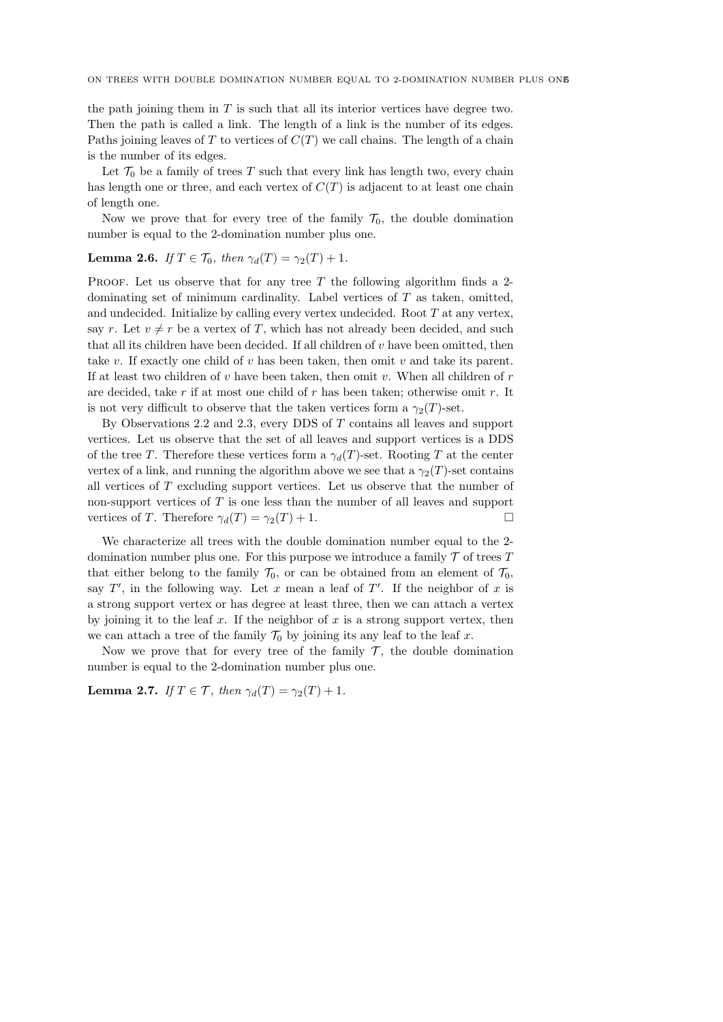the path joining them in  $T$  is such that all its interior vertices have degree two. Then the path is called a link. The length of a link is the number of its edges. Paths joining leaves of T to vertices of  $C(T)$  we call chains. The length of a chain is the number of its edges.

Let  $\mathcal{T}_0$  be a family of trees T such that every link has length two, every chain has length one or three, and each vertex of  $C(T)$  is adjacent to at least one chain of length one.

Now we prove that for every tree of the family  $\mathcal{T}_0$ , the double domination number is equal to the 2-domination number plus one.

## Lemma 2.6. If  $T \in \mathcal{T}_0$ , then  $\gamma_d(T) = \gamma_2(T) + 1$ .

PROOF. Let us observe that for any tree  $T$  the following algorithm finds a 2dominating set of minimum cardinality. Label vertices of  $T$  as taken, omitted, and undecided. Initialize by calling every vertex undecided. Root  $T$  at any vertex, say r. Let  $v \neq r$  be a vertex of T, which has not already been decided, and such that all its children have been decided. If all children of v have been omitted, then take v. If exactly one child of v has been taken, then omit v and take its parent. If at least two children of  $v$  have been taken, then omit  $v$ . When all children of  $r$ are decided, take  $r$  if at most one child of  $r$  has been taken; otherwise omit  $r$ . It is not very difficult to observe that the taken vertices form a  $\gamma_2(T)$ -set.

By Observations 2.2 and 2.3, every DDS of T contains all leaves and support vertices. Let us observe that the set of all leaves and support vertices is a DDS of the tree T. Therefore these vertices form a  $\gamma_d(T)$ -set. Rooting T at the center vertex of a link, and running the algorithm above we see that a  $\gamma_2(T)$ -set contains all vertices of T excluding support vertices. Let us observe that the number of non-support vertices of T is one less than the number of all leaves and support vertices of T. Therefore  $\gamma_d(T) = \gamma_2(T) + 1$ .

We characterize all trees with the double domination number equal to the 2 domination number plus one. For this purpose we introduce a family  $\mathcal T$  of trees  $T$ that either belong to the family  $\mathcal{T}_0$ , or can be obtained from an element of  $\mathcal{T}_0$ , say  $T'$ , in the following way. Let x mean a leaf of  $T'$ . If the neighbor of x is a strong support vertex or has degree at least three, then we can attach a vertex by joining it to the leaf  $x$ . If the neighbor of  $x$  is a strong support vertex, then we can attach a tree of the family  $\mathcal{T}_0$  by joining its any leaf to the leaf x.

Now we prove that for every tree of the family  $\mathcal{T}$ , the double domination number is equal to the 2-domination number plus one.

**Lemma 2.7.** If  $T \in \mathcal{T}$ , then  $\gamma_d(T) = \gamma_2(T) + 1$ .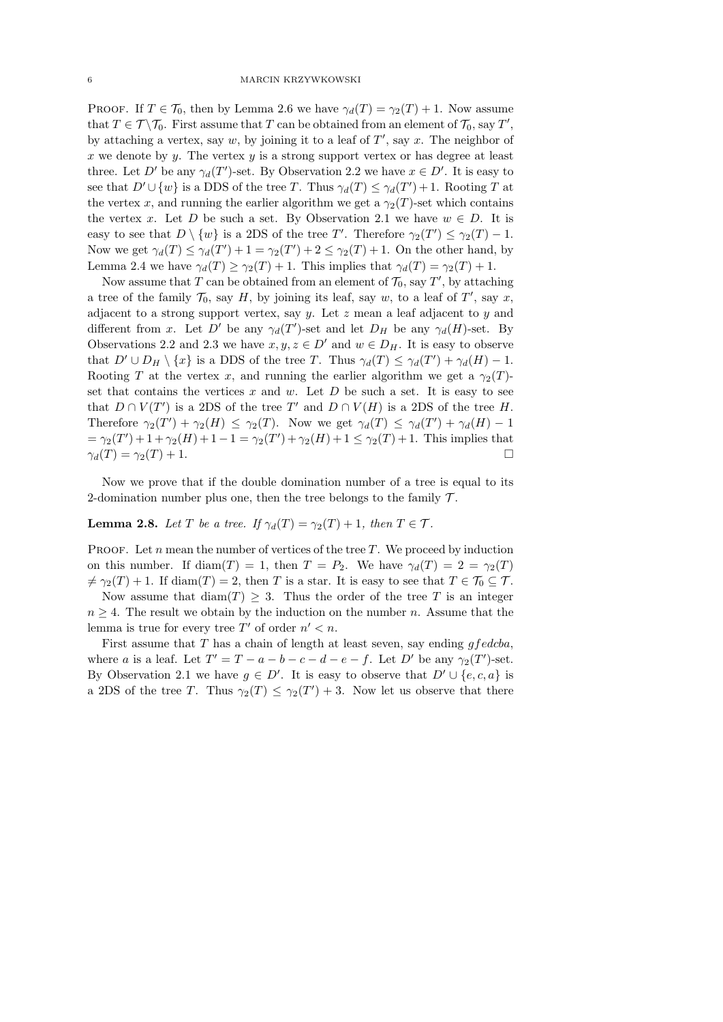PROOF. If  $T \in \mathcal{T}_0$ , then by Lemma 2.6 we have  $\gamma_d(T) = \gamma_2(T) + 1$ . Now assume that  $T \in \mathcal{T} \setminus \mathcal{T}_0$ . First assume that T can be obtained from an element of  $\mathcal{T}_0$ , say T', by attaching a vertex, say  $w$ , by joining it to a leaf of  $T'$ , say  $x$ . The neighbor of x we denote by  $\gamma$ . The vertex  $\gamma$  is a strong support vertex or has degree at least three. Let D' be any  $\gamma_d(T')$ -set. By Observation 2.2 we have  $x \in D'$ . It is easy to see that  $D' \cup \{w\}$  is a DDS of the tree T. Thus  $\gamma_d(T) \leq \gamma_d(T') + 1$ . Rooting T at the vertex x, and running the earlier algorithm we get a  $\gamma_2(T)$ -set which contains the vertex x. Let D be such a set. By Observation 2.1 we have  $w \in D$ . It is easy to see that  $D \setminus \{w\}$  is a 2DS of the tree T'. Therefore  $\gamma_2(T') \leq \gamma_2(T) - 1$ . Now we get  $\gamma_d(T) \leq \gamma_d(T') + 1 = \gamma_2(T') + 2 \leq \gamma_2(T) + 1$ . On the other hand, by Lemma 2.4 we have  $\gamma_d(T) \geq \gamma_2(T) + 1$ . This implies that  $\gamma_d(T) = \gamma_2(T) + 1$ .

Now assume that T can be obtained from an element of  $\mathcal{T}_0$ , say T', by attaching a tree of the family  $\mathcal{T}_0$ , say H, by joining its leaf, say w, to a leaf of T', say x, adjacent to a strong support vertex, say  $y$ . Let  $z$  mean a leaf adjacent to  $y$  and different from x. Let D' be any  $\gamma_d(T')$ -set and let  $D_H$  be any  $\gamma_d(H)$ -set. By Observations 2.2 and 2.3 we have  $x, y, z \in D'$  and  $w \in D_H$ . It is easy to observe that  $D' \cup D_H \setminus \{x\}$  is a DDS of the tree T. Thus  $\gamma_d(T) \leq \gamma_d(T') + \gamma_d(H) - 1$ . Rooting T at the vertex x, and running the earlier algorithm we get a  $\gamma_2(T)$ set that contains the vertices  $x$  and  $w$ . Let  $D$  be such a set. It is easy to see that  $D \cap V(T')$  is a 2DS of the tree T' and  $D \cap V(H)$  is a 2DS of the tree H. Therefore  $\gamma_2(T') + \gamma_2(H) \leq \gamma_2(T)$ . Now we get  $\gamma_d(T) \leq \gamma_d(T') + \gamma_d(H) - 1$  $=\gamma_2(T') + 1 + \gamma_2(H) + 1 - 1 = \gamma_2(T') + \gamma_2(H) + 1 \leq \gamma_2(T) + 1$ . This implies that  $\gamma_d(T) = \gamma_2(T) + 1.$ 

Now we prove that if the double domination number of a tree is equal to its 2-domination number plus one, then the tree belongs to the family  $\mathcal{T}$ .

# **Lemma 2.8.** Let T be a tree. If  $\gamma_d(T) = \gamma_2(T) + 1$ , then  $T \in \mathcal{T}$ .

lemma is true for every tree  $T'$  of order  $n' < n$ .

PROOF. Let  $n$  mean the number of vertices of the tree  $T$ . We proceed by induction on this number. If diam(T) = 1, then  $T = P_2$ . We have  $\gamma_d(T) = 2 = \gamma_2(T)$  $\neq \gamma_2(T) + 1$ . If diam(T) = 2, then T is a star. It is easy to see that  $T \in \mathcal{T}_0 \subseteq \mathcal{T}$ . Now assume that  $\text{diam}(T) \geq 3$ . Thus the order of the tree T is an integer  $n \geq 4$ . The result we obtain by the induction on the number n. Assume that the

First assume that T has a chain of length at least seven, say ending  $gfedcba$ , where a is a leaf. Let  $T' = T - a - b - c - d - e - f$ . Let D' be any  $\gamma_2(T')$ -set. By Observation 2.1 we have  $g \in D'$ . It is easy to observe that  $D' \cup \{e, c, a\}$  is a 2DS of the tree T. Thus  $\gamma_2(T) \leq \gamma_2(T') + 3$ . Now let us observe that there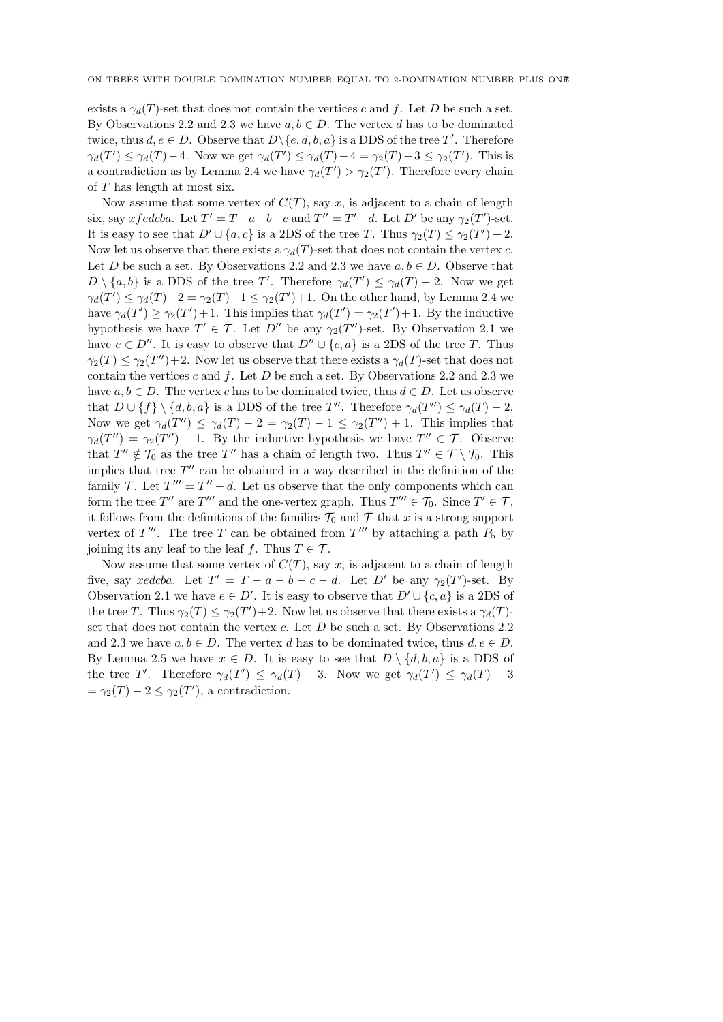exists a  $\gamma_d(T)$ -set that does not contain the vertices c and f. Let D be such a set. By Observations 2.2 and 2.3 we have  $a, b \in D$ . The vertex d has to be dominated twice, thus  $d, e \in D$ . Observe that  $D \setminus \{e, d, b, a\}$  is a DDS of the tree T'. Therefore  $\gamma_d(T') \leq \gamma_d(T) - 4$ . Now we get  $\gamma_d(T') \leq \gamma_d(T) - 4 = \gamma_2(T) - 3 \leq \gamma_2(T')$ . This is a contradiction as by Lemma 2.4 we have  $\gamma_d(T') > \gamma_2(T')$ . Therefore every chain of T has length at most six.

Now assume that some vertex of  $C(T)$ , say x, is adjacent to a chain of length six, say x fedcba. Let  $T' = T - a - b - c$  and  $T'' = T' - d$ . Let  $D'$  be any  $\gamma_2(T')$ -set. It is easy to see that  $D' \cup \{a, c\}$  is a 2DS of the tree T. Thus  $\gamma_2(T) \leq \gamma_2(T') + 2$ . Now let us observe that there exists a  $\gamma_d(T)$ -set that does not contain the vertex c. Let D be such a set. By Observations 2.2 and 2.3 we have  $a, b \in D$ . Observe that  $D \setminus \{a, b\}$  is a DDS of the tree T'. Therefore  $\gamma_d(T') \leq \gamma_d(T) - 2$ . Now we get  $\gamma_d(T') \leq \gamma_d(T) - 2 = \gamma_2(T) - 1 \leq \gamma_2(T') + 1$ . On the other hand, by Lemma 2.4 we have  $\gamma_d(T') \geq \gamma_2(T') + 1$ . This implies that  $\gamma_d(T') = \gamma_2(T') + 1$ . By the inductive hypothesis we have  $T' \in \mathcal{T}$ . Let  $D''$  be any  $\gamma_2(T'')$ -set. By Observation 2.1 we have  $e \in D''$ . It is easy to observe that  $D'' \cup \{c, a\}$  is a 2DS of the tree T. Thus  $\gamma_2(T) \leq \gamma_2(T'') + 2$ . Now let us observe that there exists a  $\gamma_d(T)$ -set that does not contain the vertices  $c$  and  $f$ . Let  $D$  be such a set. By Observations 2.2 and 2.3 we have  $a, b \in D$ . The vertex c has to be dominated twice, thus  $d \in D$ . Let us observe that  $D \cup \{f\} \setminus \{d, b, a\}$  is a DDS of the tree T''. Therefore  $\gamma_d(T'') \leq \gamma_d(T) - 2$ . Now we get  $\gamma_d(T'') \leq \gamma_d(T) - 2 = \gamma_2(T) - 1 \leq \gamma_2(T'') + 1$ . This implies that  $\gamma_d(T'') = \gamma_2(T'') + 1$ . By the inductive hypothesis we have  $T'' \in \mathcal{T}$ . Observe that  $T'' \notin \mathcal{T}_0$  as the tree T'' has a chain of length two. Thus  $T'' \in \mathcal{T} \setminus \mathcal{T}_0$ . This implies that tree  $T''$  can be obtained in a way described in the definition of the family T. Let  $T''' = T'' - d$ . Let us observe that the only components which can form the tree  $T''$  are  $T'''$  and the one-vertex graph. Thus  $T''' \in \mathcal{T}_0$ . Since  $T' \in \mathcal{T}$ , it follows from the definitions of the families  $\mathcal{T}_0$  and  $\mathcal{T}$  that x is a strong support vertex of  $T'''$ . The tree T can be obtained from  $T'''$  by attaching a path  $P_5$  by joining its any leaf to the leaf f. Thus  $T \in \mathcal{T}$ .

Now assume that some vertex of  $C(T)$ , say x, is adjacent to a chain of length five, say xedcba. Let  $T' = T - a - b - c - d$ . Let D' be any  $\gamma_2(T')$ -set. By Observation 2.1 we have  $e \in D'$ . It is easy to observe that  $D' \cup \{c, a\}$  is a 2DS of the tree T. Thus  $\gamma_2(T) \leq \gamma_2(T') + 2$ . Now let us observe that there exists a  $\gamma_d(T)$ set that does not contain the vertex  $c$ . Let  $D$  be such a set. By Observations 2.2 and 2.3 we have  $a, b \in D$ . The vertex d has to be dominated twice, thus  $d, e \in D$ . By Lemma 2.5 we have  $x \in D$ . It is easy to see that  $D \setminus \{d, b, a\}$  is a DDS of the tree T'. Therefore  $\gamma_d(T') \leq \gamma_d(T) - 3$ . Now we get  $\gamma_d(T') \leq \gamma_d(T) - 3$  $=\gamma_2(T)-2\leq \gamma_2(T')$ , a contradiction.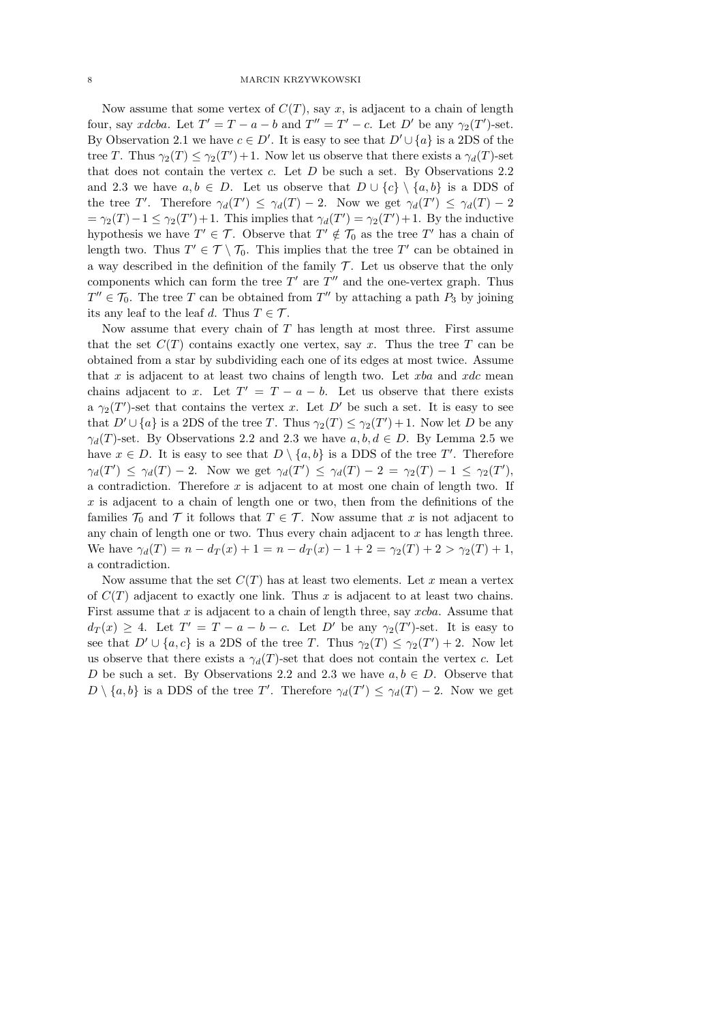Now assume that some vertex of  $C(T)$ , say x, is adjacent to a chain of length four, say xdcba. Let  $T' = T - a - b$  and  $T'' = T' - c$ . Let D' be any  $\gamma_2(T')$ -set. By Observation 2.1 we have  $c \in D'$ . It is easy to see that  $D' \cup \{a\}$  is a 2DS of the tree T. Thus  $\gamma_2(T) \leq \gamma_2(T') + 1$ . Now let us observe that there exists a  $\gamma_d(T)$ -set that does not contain the vertex  $c$ . Let  $D$  be such a set. By Observations 2.2 and 2.3 we have  $a, b \in D$ . Let us observe that  $D \cup \{c\} \setminus \{a, b\}$  is a DDS of the tree T'. Therefore  $\gamma_d(T') \leq \gamma_d(T) - 2$ . Now we get  $\gamma_d(T') \leq \gamma_d(T) - 2$  $=\gamma_2(T) - 1 \leq \gamma_2(T') + 1$ . This implies that  $\gamma_d(T') = \gamma_2(T') + 1$ . By the inductive hypothesis we have  $T' \in \mathcal{T}$ . Observe that  $T' \notin \mathcal{T}_0$  as the tree  $T'$  has a chain of length two. Thus  $T' \in \mathcal{T} \setminus \mathcal{T}_0$ . This implies that the tree  $T'$  can be obtained in a way described in the definition of the family  $\mathcal T$ . Let us observe that the only components which can form the tree  $T'$  are  $T''$  and the one-vertex graph. Thus  $T'' \in \mathcal{T}_0$ . The tree T can be obtained from T'' by attaching a path  $P_3$  by joining its any leaf to the leaf d. Thus  $T \in \mathcal{T}$ .

Now assume that every chain of T has length at most three. First assume that the set  $C(T)$  contains exactly one vertex, say x. Thus the tree T can be obtained from a star by subdividing each one of its edges at most twice. Assume that  $x$  is adjacent to at least two chains of length two. Let  $xba$  and  $xdc$  mean chains adjacent to x. Let  $T' = T - a - b$ . Let us observe that there exists a  $\gamma_2(T')$ -set that contains the vertex x. Let D' be such a set. It is easy to see that  $D' \cup \{a\}$  is a 2DS of the tree T. Thus  $\gamma_2(T) \leq \gamma_2(T') + 1$ . Now let D be any  $\gamma_d(T)$ -set. By Observations 2.2 and 2.3 we have  $a, b, d \in D$ . By Lemma 2.5 we have  $x \in D$ . It is easy to see that  $D \setminus \{a, b\}$  is a DDS of the tree T'. Therefore  $\gamma_d(T') \leq \gamma_d(T) - 2$ . Now we get  $\gamma_d(T') \leq \gamma_d(T) - 2 = \gamma_2(T) - 1 \leq \gamma_2(T')$ , a contradiction. Therefore  $x$  is adjacent to at most one chain of length two. If  $x$  is adjacent to a chain of length one or two, then from the definitions of the families  $\mathcal{T}_0$  and  $\mathcal T$  it follows that  $T \in \mathcal T$ . Now assume that x is not adjacent to any chain of length one or two. Thus every chain adjacent to  $x$  has length three. We have  $\gamma_d(T) = n - d_T(x) + 1 = n - d_T(x) - 1 + 2 = \gamma_2(T) + 2 > \gamma_2(T) + 1$ , a contradiction.

Now assume that the set  $C(T)$  has at least two elements. Let x mean a vertex of  $C(T)$  adjacent to exactly one link. Thus x is adjacent to at least two chains. First assume that  $x$  is adjacent to a chain of length three, say  $xcba$ . Assume that  $d_T(x) \geq 4$ . Let  $T' = T - a - b - c$ . Let D' be any  $\gamma_2(T')$ -set. It is easy to see that  $D' \cup \{a, c\}$  is a 2DS of the tree T. Thus  $\gamma_2(T) \leq \gamma_2(T') + 2$ . Now let us observe that there exists a  $\gamma_d(T)$ -set that does not contain the vertex c. Let D be such a set. By Observations 2.2 and 2.3 we have  $a, b \in D$ . Observe that  $D \setminus \{a, b\}$  is a DDS of the tree T'. Therefore  $\gamma_d(T') \leq \gamma_d(T) - 2$ . Now we get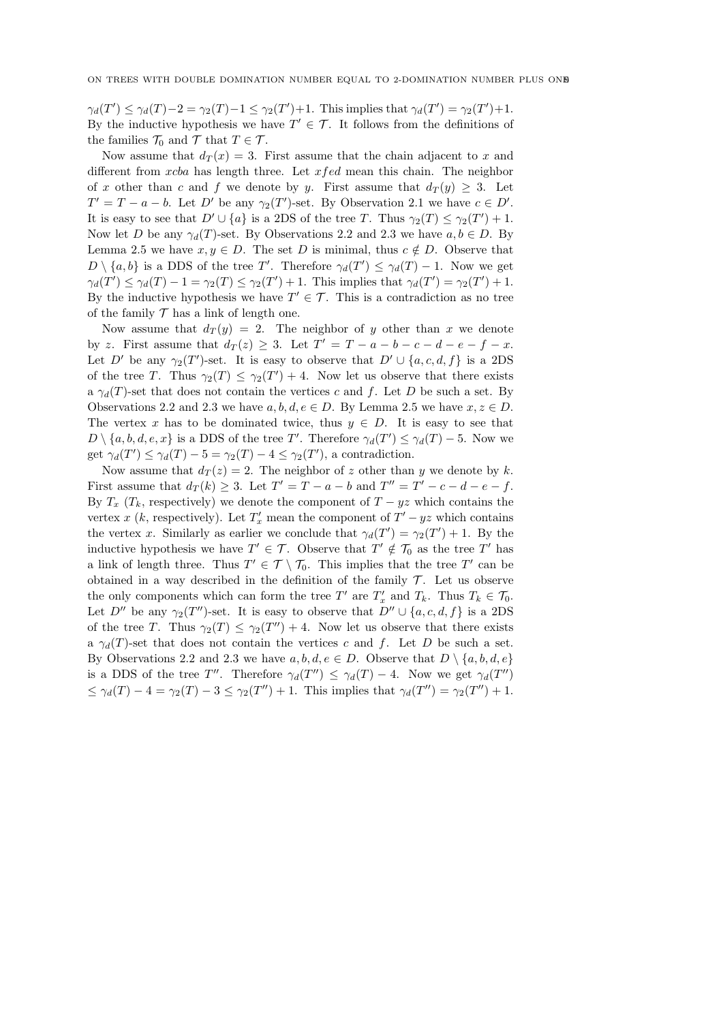$\gamma_d(T') \leq \gamma_d(T) - 2 = \gamma_2(T) - 1 \leq \gamma_2(T') + 1$ . This implies that  $\gamma_d(T') = \gamma_2(T') + 1$ . By the inductive hypothesis we have  $T' \in \mathcal{T}$ . It follows from the definitions of the families  $\mathcal{T}_0$  and  $\mathcal{T}$  that  $T \in \mathcal{T}$ .

Now assume that  $d_T(x) = 3$ . First assume that the chain adjacent to x and different from  $xcba$  has length three. Let  $xfed$  mean this chain. The neighbor of x other than c and f we denote by y. First assume that  $d_T(y) \geq 3$ . Let  $T' = T - a - b$ . Let D' be any  $\gamma_2(T')$ -set. By Observation 2.1 we have  $c \in D'$ . It is easy to see that  $D' \cup \{a\}$  is a 2DS of the tree T. Thus  $\gamma_2(T) \leq \gamma_2(T') + 1$ . Now let D be any  $\gamma_d(T)$ -set. By Observations 2.2 and 2.3 we have  $a, b \in D$ . By Lemma 2.5 we have  $x, y \in D$ . The set D is minimal, thus  $c \notin D$ . Observe that  $D \setminus \{a, b\}$  is a DDS of the tree T'. Therefore  $\gamma_d(T') \leq \gamma_d(T) - 1$ . Now we get  $\gamma_d(T') \leq \gamma_d(T) - 1 = \gamma_2(T) \leq \gamma_2(T') + 1$ . This implies that  $\gamma_d(T') = \gamma_2(T') + 1$ . By the inductive hypothesis we have  $T' \in \mathcal{T}$ . This is a contradiction as no tree of the family  $\mathcal T$  has a link of length one.

Now assume that  $d_T(y) = 2$ . The neighbor of y other than x we denote by z. First assume that  $d_T(z) \geq 3$ . Let  $T' = T - a - b - c - d - e - f - x$ . Let D' be any  $\gamma_2(T')$ -set. It is easy to observe that  $D' \cup \{a, c, d, f\}$  is a 2DS of the tree T. Thus  $\gamma_2(T) \leq \gamma_2(T') + 4$ . Now let us observe that there exists a  $\gamma_d(T)$ -set that does not contain the vertices c and f. Let D be such a set. By Observations 2.2 and 2.3 we have  $a, b, d, e \in D$ . By Lemma 2.5 we have  $x, z \in D$ . The vertex x has to be dominated twice, thus  $y \in D$ . It is easy to see that  $D \setminus \{a, b, d, e, x\}$  is a DDS of the tree T'. Therefore  $\gamma_d(T') \leq \gamma_d(T) - 5$ . Now we get  $\gamma_d(T') \leq \gamma_d(T) - 5 = \gamma_2(T) - 4 \leq \gamma_2(T')$ , a contradiction.

Now assume that  $d_T(z) = 2$ . The neighbor of z other than y we denote by k. First assume that  $d_T(k) \geq 3$ . Let  $T' = T - a - b$  and  $T'' = T' - c - d - e - f$ . By  $T_x$  ( $T_k$ , respectively) we denote the component of  $T - yz$  which contains the vertex x (k, respectively). Let  $T'_x$  mean the component of  $T'-yz$  which contains the vertex x. Similarly as earlier we conclude that  $\gamma_d(T') = \gamma_2(T') + 1$ . By the inductive hypothesis we have  $T' \in \mathcal{T}$ . Observe that  $T' \notin \mathcal{T}_0$  as the tree T' has a link of length three. Thus  $T' \in \mathcal{T} \setminus \mathcal{T}_0$ . This implies that the tree  $T'$  can be obtained in a way described in the definition of the family  $\mathcal T$ . Let us observe the only components which can form the tree T' are  $T'_x$  and  $T_k$ . Thus  $T_k \in \mathcal{T}_0$ . Let  $D''$  be any  $\gamma_2(T'')$ -set. It is easy to observe that  $D'' \cup \{a, c, d, f\}$  is a 2DS of the tree T. Thus  $\gamma_2(T) \leq \gamma_2(T'') + 4$ . Now let us observe that there exists a  $\gamma_d(T)$ -set that does not contain the vertices c and f. Let D be such a set. By Observations 2.2 and 2.3 we have  $a, b, d, e \in D$ . Observe that  $D \setminus \{a, b, d, e\}$ is a DDS of the tree T''. Therefore  $\gamma_d(T'') \leq \gamma_d(T) - 4$ . Now we get  $\gamma_d(T'')$  $\leq \gamma_d(T) - 4 = \gamma_2(T) - 3 \leq \gamma_2(T'') + 1$ . This implies that  $\gamma_d(T'') = \gamma_2(T'') + 1$ .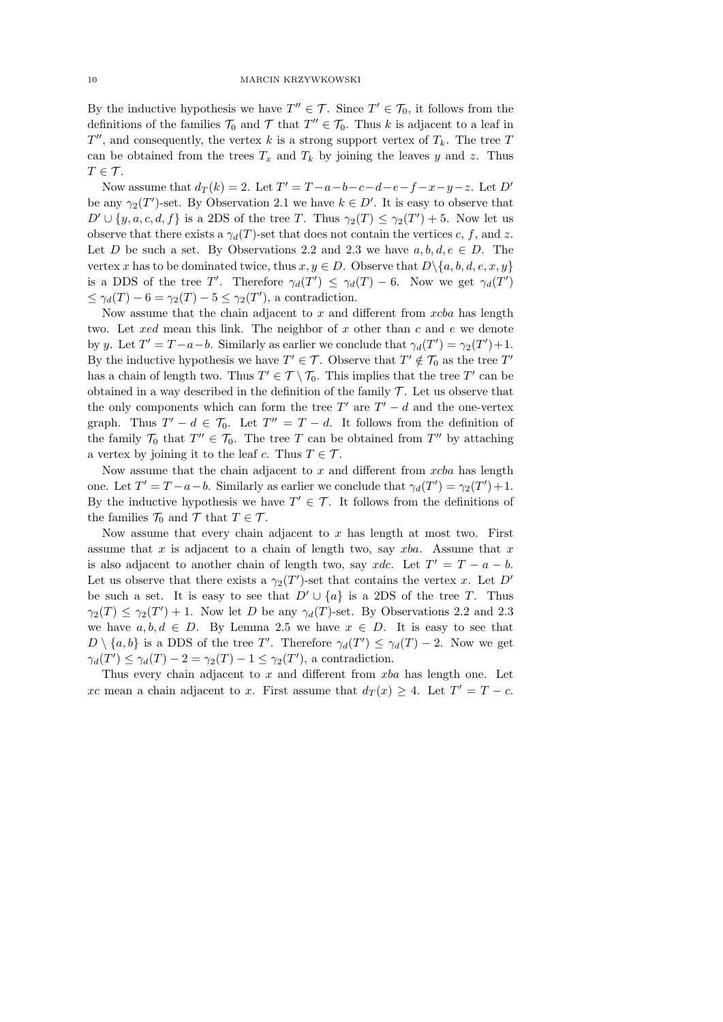By the inductive hypothesis we have  $T'' \in \mathcal{T}$ . Since  $T' \in \mathcal{T}_0$ , it follows from the definitions of the families  $\mathcal{T}_0$  and  $\mathcal{T}$  that  $T'' \in \mathcal{T}_0$ . Thus k is adjacent to a leaf in  $T''$ , and consequently, the vertex k is a strong support vertex of  $T_k$ . The tree T can be obtained from the trees  $T_x$  and  $T_k$  by joining the leaves y and z. Thus  $T \in \mathcal{T}$ .

Now assume that  $d_T(k) = 2$ . Let  $T' = T - a - b - c - d - e - f - x - y - z$ . Let  $D'$ be any  $\gamma_2(T')$ -set. By Observation 2.1 we have  $k \in D'$ . It is easy to observe that  $D' \cup \{y, a, c, d, f\}$  is a 2DS of the tree T. Thus  $\gamma_2(T) \leq \gamma_2(T') + 5$ . Now let us observe that there exists a  $\gamma_d(T)$ -set that does not contain the vertices c, f, and z. Let D be such a set. By Observations 2.2 and 2.3 we have  $a, b, d, e \in D$ . The vertex x has to be dominated twice, thus  $x, y \in D$ . Observe that  $D \setminus \{a, b, d, e, x, y\}$ is a DDS of the tree T'. Therefore  $\gamma_d(T') \leq \gamma_d(T) - 6$ . Now we get  $\gamma_d(T')$  $\leq \gamma_d(T) - 6 = \gamma_2(T) - 5 \leq \gamma_2(T')$ , a contradiction.

Now assume that the chain adjacent to  $x$  and different from  $xcba$  has length two. Let  $\text{red}$  mean this link. The neighbor of  $x$  other than  $c$  and  $e$  we denote by y. Let  $T' = T - a - b$ . Similarly as earlier we conclude that  $\gamma_d(T') = \gamma_2(T') + 1$ . By the inductive hypothesis we have  $T' \in \mathcal{T}$ . Observe that  $T' \notin \mathcal{T}_0$  as the tree  $T'$ has a chain of length two. Thus  $T' \in \mathcal{T} \setminus \mathcal{T}_0$ . This implies that the tree  $T'$  can be obtained in a way described in the definition of the family  $\mathcal T$ . Let us observe that the only components which can form the tree  $T'$  are  $T' - d$  and the one-vertex graph. Thus  $T' - d \in \mathcal{T}_0$ . Let  $T'' = T - d$ . It follows from the definition of the family  $\mathcal{T}_0$  that  $T'' \in \mathcal{T}_0$ . The tree T can be obtained from  $T''$  by attaching a vertex by joining it to the leaf c. Thus  $T \in \mathcal{T}$ .

Now assume that the chain adjacent to  $x$  and different from  $xcba$  has length one. Let  $T' = T - a - b$ . Similarly as earlier we conclude that  $\gamma_d(T') = \gamma_2(T') + 1$ . By the inductive hypothesis we have  $T' \in \mathcal{T}$ . It follows from the definitions of the families  $\mathcal{T}_0$  and  $\mathcal{T}$  that  $T \in \mathcal{T}$ .

Now assume that every chain adjacent to  $x$  has length at most two. First assume that x is adjacent to a chain of length two, say  $xba$ . Assume that x is also adjacent to another chain of length two, say xdc. Let  $T' = T - a - b$ . Let us observe that there exists a  $\gamma_2(T')$ -set that contains the vertex x. Let D' be such a set. It is easy to see that  $D' \cup \{a\}$  is a 2DS of the tree T. Thus  $\gamma_2(T) \leq \gamma_2(T') + 1$ . Now let D be any  $\gamma_d(T)$ -set. By Observations 2.2 and 2.3 we have  $a, b, d \in D$ . By Lemma 2.5 we have  $x \in D$ . It is easy to see that  $D \setminus \{a, b\}$  is a DDS of the tree T'. Therefore  $\gamma_d(T') \leq \gamma_d(T) - 2$ . Now we get  $\gamma_d(T') \leq \gamma_d(T) - 2 = \gamma_2(T) - 1 \leq \gamma_2(T')$ , a contradiction.

Thus every chain adjacent to  $x$  and different from  $xba$  has length one. Let xc mean a chain adjacent to x. First assume that  $d_T(x) \geq 4$ . Let  $T' = T - c$ .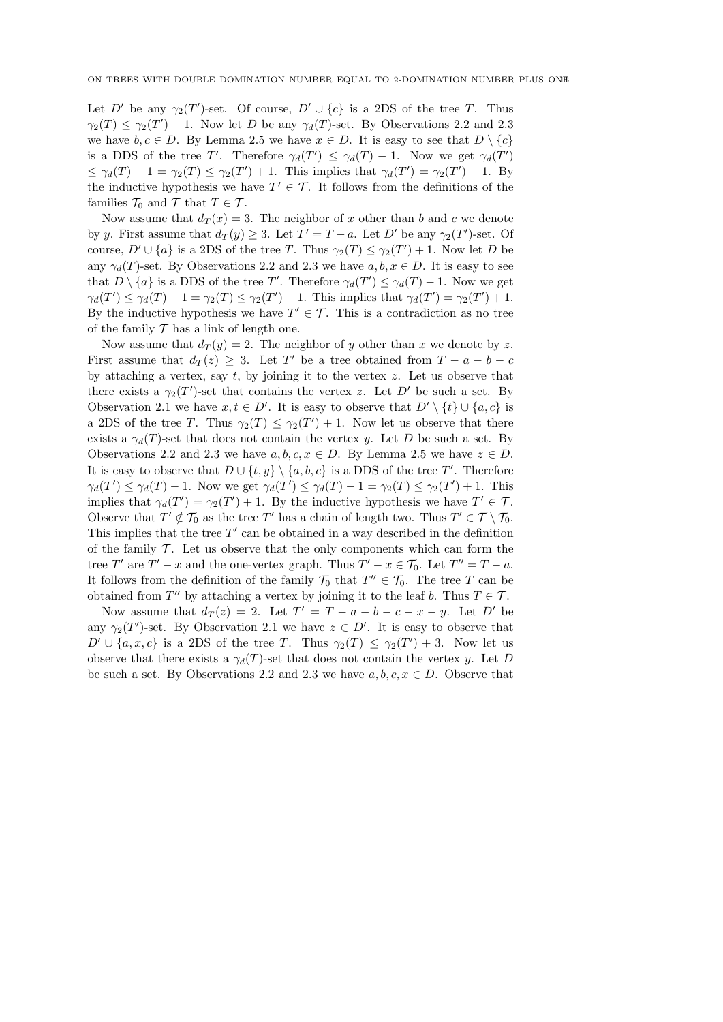Let D' be any  $\gamma_2(T')$ -set. Of course,  $D' \cup \{c\}$  is a 2DS of the tree T. Thus  $\gamma_2(T) \leq \gamma_2(T') + 1$ . Now let D be any  $\gamma_d(T)$ -set. By Observations 2.2 and 2.3 we have  $b, c \in D$ . By Lemma 2.5 we have  $x \in D$ . It is easy to see that  $D \setminus \{c\}$ is a DDS of the tree T'. Therefore  $\gamma_d(T') \leq \gamma_d(T) - 1$ . Now we get  $\gamma_d(T')$  $\leq \gamma_d(T) - 1 = \gamma_2(T) \leq \gamma_2(T') + 1$ . This implies that  $\gamma_d(T') = \gamma_2(T') + 1$ . By the inductive hypothesis we have  $T' \in \mathcal{T}$ . It follows from the definitions of the families  $\mathcal{T}_0$  and  $\mathcal{T}$  that  $T \in \mathcal{T}$ .

Now assume that  $d_T(x) = 3$ . The neighbor of x other than b and c we denote by y. First assume that  $d_T(y) \geq 3$ . Let  $T' = T - a$ . Let D' be any  $\gamma_2(T')$ -set. Of course,  $D' \cup \{a\}$  is a 2DS of the tree T. Thus  $\gamma_2(T) \leq \gamma_2(T') + 1$ . Now let D be any  $\gamma_d(T)$ -set. By Observations 2.2 and 2.3 we have  $a, b, x \in D$ . It is easy to see that  $D \setminus \{a\}$  is a DDS of the tree T'. Therefore  $\gamma_d(T') \leq \gamma_d(T) - 1$ . Now we get  $\gamma_d(T') \leq \gamma_d(T) - 1 = \gamma_2(T) \leq \gamma_2(T') + 1$ . This implies that  $\gamma_d(T') = \gamma_2(T') + 1$ . By the inductive hypothesis we have  $T' \in \mathcal{T}$ . This is a contradiction as no tree of the family  $\mathcal T$  has a link of length one.

Now assume that  $d_T(y) = 2$ . The neighbor of y other than x we denote by z. First assume that  $d_T(z) \geq 3$ . Let T' be a tree obtained from  $T - a - b - c$ by attaching a vertex, say  $t$ , by joining it to the vertex  $z$ . Let us observe that there exists a  $\gamma_2(T')$ -set that contains the vertex z. Let D' be such a set. By Observation 2.1 we have  $x, t \in D'$ . It is easy to observe that  $D' \setminus \{t\} \cup \{a, c\}$  is a 2DS of the tree T. Thus  $\gamma_2(T) \leq \gamma_2(T') + 1$ . Now let us observe that there exists a  $\gamma_d(T)$ -set that does not contain the vertex y. Let D be such a set. By Observations 2.2 and 2.3 we have  $a, b, c, x \in D$ . By Lemma 2.5 we have  $z \in D$ . It is easy to observe that  $D \cup \{t, y\} \setminus \{a, b, c\}$  is a DDS of the tree T'. Therefore  $\gamma_d(T') \leq \gamma_d(T) - 1$ . Now we get  $\gamma_d(T') \leq \gamma_d(T) - 1 = \gamma_2(T) \leq \gamma_2(T') + 1$ . This implies that  $\gamma_d(T') = \gamma_2(T') + 1$ . By the inductive hypothesis we have  $T' \in \mathcal{T}$ . Observe that  $T' \notin \mathcal{T}_0$  as the tree T' has a chain of length two. Thus  $T' \in \mathcal{T} \setminus \mathcal{T}_0$ . This implies that the tree  $T'$  can be obtained in a way described in the definition of the family  $\mathcal T$ . Let us observe that the only components which can form the tree T' are  $T' - x$  and the one-vertex graph. Thus  $T' - x \in \mathcal{T}_0$ . Let  $T'' = T - a$ . It follows from the definition of the family  $\mathcal{T}_0$  that  $T'' \in \mathcal{T}_0$ . The tree T can be obtained from  $T''$  by attaching a vertex by joining it to the leaf b. Thus  $T \in \mathcal{T}$ .

Now assume that  $d_T(z) = 2$ . Let  $T' = T - a - b - c - x - y$ . Let D' be any  $\gamma_2(T')$ -set. By Observation 2.1 we have  $z \in D'$ . It is easy to observe that  $D' \cup \{a, x, c\}$  is a 2DS of the tree T. Thus  $\gamma_2(T) \leq \gamma_2(T') + 3$ . Now let us observe that there exists a  $\gamma_d(T)$ -set that does not contain the vertex y. Let D be such a set. By Observations 2.2 and 2.3 we have  $a, b, c, x \in D$ . Observe that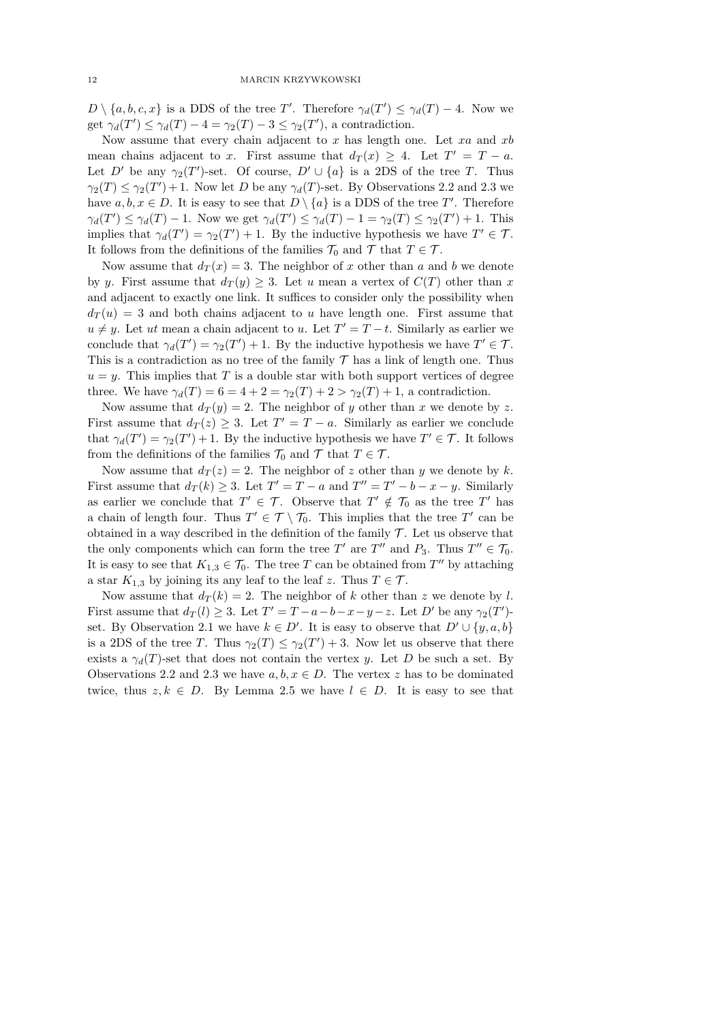$D \setminus \{a, b, c, x\}$  is a DDS of the tree T'. Therefore  $\gamma_d(T') \leq \gamma_d(T) - 4$ . Now we get  $\gamma_d(T') \leq \gamma_d(T) - 4 = \gamma_2(T) - 3 \leq \gamma_2(T')$ , a contradiction.

Now assume that every chain adjacent to  $x$  has length one. Let  $xa$  and  $xb$ mean chains adjacent to x. First assume that  $d_T(x) \geq 4$ . Let  $T' = T - a$ . Let D' be any  $\gamma_2(T')$ -set. Of course,  $D' \cup \{a\}$  is a 2DS of the tree T. Thus  $\gamma_2(T) \leq \gamma_2(T') + 1$ . Now let D be any  $\gamma_d(T)$ -set. By Observations 2.2 and 2.3 we have  $a, b, x \in D$ . It is easy to see that  $D \setminus \{a\}$  is a DDS of the tree T'. Therefore  $\gamma_d(T') \leq \gamma_d(T) - 1$ . Now we get  $\gamma_d(T') \leq \gamma_d(T) - 1 = \gamma_2(T) \leq \gamma_2(T') + 1$ . This implies that  $\gamma_d(T') = \gamma_2(T') + 1$ . By the inductive hypothesis we have  $T' \in \mathcal{T}$ . It follows from the definitions of the families  $\mathcal{T}_0$  and  $\mathcal{T}$  that  $T \in \mathcal{T}$ .

Now assume that  $d_T(x) = 3$ . The neighbor of x other than a and b we denote by y. First assume that  $d_T(y) \geq 3$ . Let u mean a vertex of  $C(T)$  other than x and adjacent to exactly one link. It suffices to consider only the possibility when  $d_T(u) = 3$  and both chains adjacent to u have length one. First assume that  $u \neq y$ . Let ut mean a chain adjacent to u. Let  $T' = T - t$ . Similarly as earlier we conclude that  $\gamma_d(T') = \gamma_2(T') + 1$ . By the inductive hypothesis we have  $T' \in \mathcal{T}$ . This is a contradiction as no tree of the family  $\mathcal T$  has a link of length one. Thus  $u = y$ . This implies that T is a double star with both support vertices of degree three. We have  $\gamma_d(T) = 6 = 4 + 2 = \gamma_2(T) + 2 > \gamma_2(T) + 1$ , a contradiction.

Now assume that  $d_T(y) = 2$ . The neighbor of y other than x we denote by z. First assume that  $d_T(z) \geq 3$ . Let  $T' = T - a$ . Similarly as earlier we conclude that  $\gamma_d(T') = \gamma_2(T') + 1$ . By the inductive hypothesis we have  $T' \in \mathcal{T}$ . It follows from the definitions of the families  $\mathcal{T}_0$  and  $\mathcal{T}$  that  $T \in \mathcal{T}$ .

Now assume that  $d_T(z) = 2$ . The neighbor of z other than y we denote by k. First assume that  $d_T(k) \geq 3$ . Let  $T' = T - a$  and  $T'' = T' - b - x - y$ . Similarly as earlier we conclude that  $T' \in \mathcal{T}$ . Observe that  $T' \notin \mathcal{T}_0$  as the tree T' has a chain of length four. Thus  $T' \in \mathcal{T} \setminus \mathcal{T}_0$ . This implies that the tree  $T'$  can be obtained in a way described in the definition of the family  $\mathcal T$ . Let us observe that the only components which can form the tree T' are T'' and  $P_3$ . Thus  $T'' \in \mathcal{T}_0$ . It is easy to see that  $K_{1,3} \in \mathcal{T}_0$ . The tree T can be obtained from T'' by attaching a star  $K_{1,3}$  by joining its any leaf to the leaf z. Thus  $T \in \mathcal{T}$ .

Now assume that  $d_T(k) = 2$ . The neighbor of k other than z we denote by l. First assume that  $d_T(l) \geq 3$ . Let  $T' = T - a - b - x - y - z$ . Let D' be any  $\gamma_2(T')$ set. By Observation 2.1 we have  $k \in D'$ . It is easy to observe that  $D' \cup \{y, a, b\}$ is a 2DS of the tree T. Thus  $\gamma_2(T) \leq \gamma_2(T') + 3$ . Now let us observe that there exists a  $\gamma_d(T)$ -set that does not contain the vertex y. Let D be such a set. By Observations 2.2 and 2.3 we have  $a, b, x \in D$ . The vertex z has to be dominated twice, thus  $z, k \in D$ . By Lemma 2.5 we have  $l \in D$ . It is easy to see that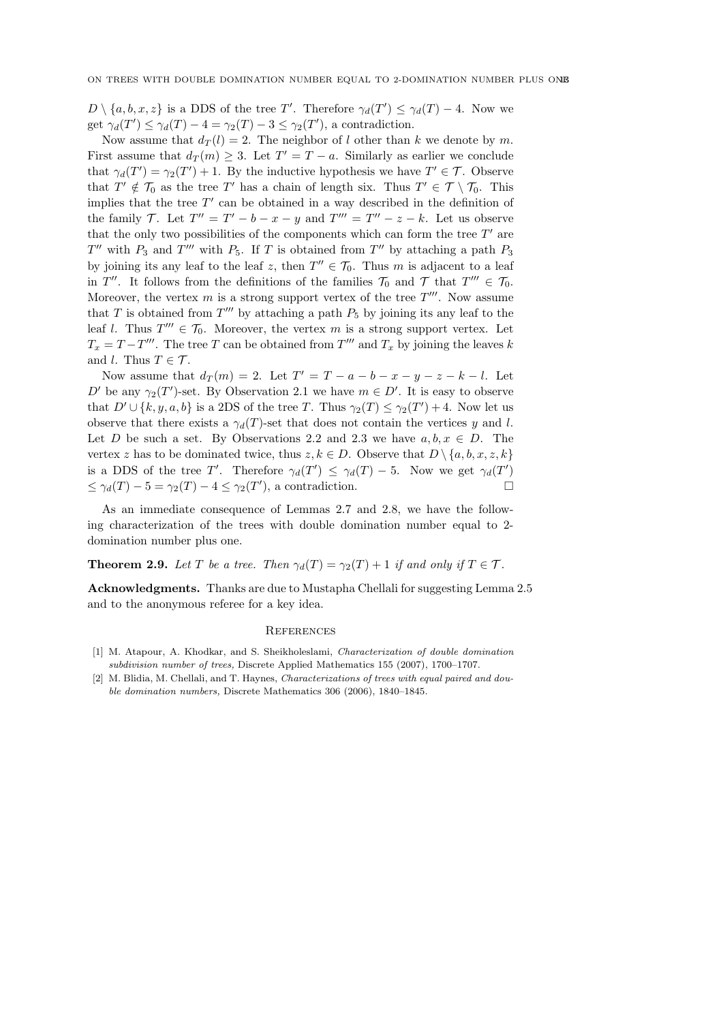$D \setminus \{a, b, x, z\}$  is a DDS of the tree T'. Therefore  $\gamma_d(T') \leq \gamma_d(T) - 4$ . Now we get  $\gamma_d(T') \leq \gamma_d(T) - 4 = \gamma_2(T) - 3 \leq \gamma_2(T')$ , a contradiction.

Now assume that  $d_T(l) = 2$ . The neighbor of l other than k we denote by m. First assume that  $d_T(m) \geq 3$ . Let  $T' = T - a$ . Similarly as earlier we conclude that  $\gamma_d(T') = \gamma_2(T') + 1$ . By the inductive hypothesis we have  $T' \in \mathcal{T}$ . Observe that  $T' \notin \mathcal{T}_0$  as the tree T' has a chain of length six. Thus  $T' \in \mathcal{T} \setminus \mathcal{T}_0$ . This implies that the tree  $T'$  can be obtained in a way described in the definition of the family T. Let  $T'' = T' - b - x - y$  and  $T''' = T'' - z - k$ . Let us observe that the only two possibilities of the components which can form the tree  $T'$  are  $T''$  with  $P_3$  and  $T'''$  with  $P_5$ . If T is obtained from  $T''$  by attaching a path  $P_3$ by joining its any leaf to the leaf z, then  $T'' \in \mathcal{T}_0$ . Thus m is adjacent to a leaf in  $T''$ . It follows from the definitions of the families  $\mathcal{T}_0$  and  $\mathcal{T}$  that  $T''' \in \mathcal{T}_0$ . Moreover, the vertex  $m$  is a strong support vertex of the tree  $T'''$ . Now assume that T is obtained from  $T'''$  by attaching a path  $P_5$  by joining its any leaf to the leaf l. Thus  $T''' \in \mathcal{T}_0$ . Moreover, the vertex m is a strong support vertex. Let  $T_x = T - T'''$ . The tree T can be obtained from  $T'''$  and  $T_x$  by joining the leaves k and *l*. Thus  $T \in \mathcal{T}$ .

Now assume that  $d_T(m) = 2$ . Let  $T' = T - a - b - x - y - z - k - l$ . Let D' be any  $\gamma_2(T')$ -set. By Observation 2.1 we have  $m \in D'$ . It is easy to observe that  $D' \cup \{k, y, a, b\}$  is a 2DS of the tree T. Thus  $\gamma_2(T) \leq \gamma_2(T') + 4$ . Now let us observe that there exists a  $\gamma_d(T)$ -set that does not contain the vertices y and l. Let D be such a set. By Observations 2.2 and 2.3 we have  $a, b, x \in D$ . The vertex z has to be dominated twice, thus  $z, k \in D$ . Observe that  $D \setminus \{a, b, x, z, k\}$ is a DDS of the tree T'. Therefore  $\gamma_d(T') \leq \gamma_d(T) - 5$ . Now we get  $\gamma_d(T')$  $\leq \gamma_d(T) - 5 = \gamma_2(T) - 4 \leq \gamma_2(T')$ , a contradiction.

As an immediate consequence of Lemmas 2.7 and 2.8, we have the following characterization of the trees with double domination number equal to 2 domination number plus one.

### **Theorem 2.9.** Let T be a tree. Then  $\gamma_d(T) = \gamma_2(T) + 1$  if and only if  $T \in \mathcal{T}$ .

Acknowledgments. Thanks are due to Mustapha Chellali for suggesting Lemma 2.5 and to the anonymous referee for a key idea.

### **REFERENCES**

- [1] M. Atapour, A. Khodkar, and S. Sheikholeslami, Characterization of double domination subdivision number of trees, Discrete Applied Mathematics 155 (2007), 1700–1707.
- [2] M. Blidia, M. Chellali, and T. Haynes, *Characterizations of trees with equal paired and dou*ble domination numbers, Discrete Mathematics 306 (2006), 1840–1845.